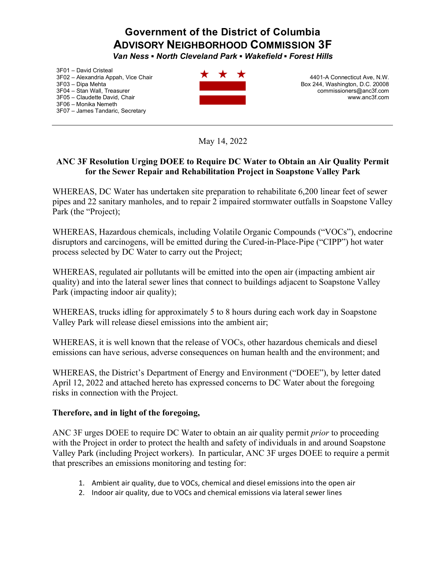## **Government of the District of Columbia ADVISORY NEIGHBORHOOD COMMISSION 3F**

*Van Ness ƒNorth Cleveland Park ƒWakefield ƒ Forest Hills* 

3F01 - David Cristeal 3F02 - Alexandria Appah, Vice Chair 3F03 - Dipa Mehta 3F04 - Stan Wall, Treasurer 3F05 - Claudette David, Chair 3F06 - Monika Nemeth 3F07 - James Tandaric, Secretary



4401-A Connecticut Ave, N.W. Box 244, Washington, D.C. 20008 commissioners@anc3f.com www.anc3f.com

May 14, 2022

## **ANC 3F Resolution Urging DOEE to Require DC Water to Obtain an Air Quality Permit for the Sewer Repair and Rehabilitation Project in Soapstone Valley Park**

WHEREAS, DC Water has undertaken site preparation to rehabilitate 6,200 linear feet of sewer pipes and 22 sanitary manholes, and to repair 2 impaired stormwater outfalls in Soapstone Valley Park (the "Project);

WHEREAS, Hazardous chemicals, including Volatile Organic Compounds ("VOCs"), endocrine disruptors and carcinogens, will be emitted during the Cured-in-Place-Pipe ("CIPP") hot water process selected by DC Water to carry out the Project;

WHEREAS, regulated air pollutants will be emitted into the open air (impacting ambient air quality) and into the lateral sewer lines that connect to buildings adjacent to Soapstone Valley Park (impacting indoor air quality);

WHEREAS, trucks idling for approximately 5 to 8 hours during each work day in Soapstone Valley Park will release diesel emissions into the ambient air;

WHEREAS, it is well known that the release of VOCs, other hazardous chemicals and diesel emissions can have serious, adverse consequences on human health and the environment; and

WHEREAS, the District's Department of Energy and Environment ("DOEE"), by letter dated April 12, 2022 and attached hereto has expressed concerns to DC Water about the foregoing risks in connection with the Project.

## **Therefore, and in light of the foregoing,**

ANC 3F urges DOEE to require DC Water to obtain an air quality permit *prior* to proceeding with the Project in order to protect the health and safety of individuals in and around Soapstone Valley Park (including Project workers). In particular, ANC 3F urges DOEE to require a permit that prescribes an emissions monitoring and testing for:

- 1. Ambient air quality, due to VOCs, chemical and diesel emissions into the open air
- 2. Indoor air quality, due to VOCs and chemical emissions via lateral sewer lines